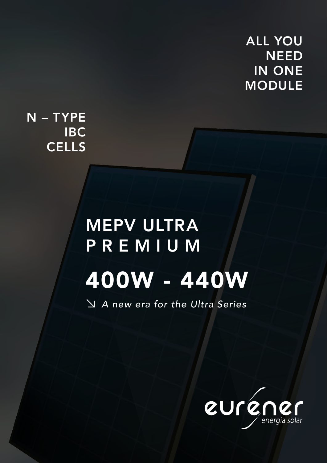## ALL YOU **NEED** IN ONE MODULE

N – TYPE IBC **CELLS** 

# MEPV ULTRA P R E M I U M 400W - 440W

↘ *A new era for the Ultra Series*

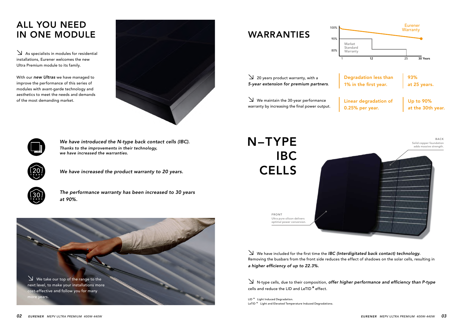## ALL YOU NEED IN ONE MODULE

*We have increased the product warranty to 20 years.*

*The performance warranty has been increased to 30 years at 90%.*

↘As specialists in modules for residential installations, Eurener welcomes the new Ultra Premium module to its family.

With our *new Ultras* we have managed to improve the performance of this series of modules with avant-garde technology and aesthetics to meet the needs and demands of the most demanding market.







*We have introduced the N-type back contact cells (IBC). Thanks to the improvements in their technology, we have increased the warranties.*

## WARRANTIES

## N – TYPE IBC **CELLS**

↘20 years product warranty, with a *5-year extension for premium partners*.

↘We maintain the 30-year performance warranty by increasing the final power output.

↘We have included for the first time the *IBC (Interdigitated back contact) technology.* Removing the busbars from the front side reduces the effect of shadows on the solar cells, resulting in *a higher efficiency of up to 22.3%.*

↘N-type cells, due to their composition, *offer higher performance and efficiency than P-type*  cells and reduce the LID and LeTID \* effect.

LID<sup>\*</sup> Light Induced Degradation. LeTID<sup>\*</sup> Light and Elevated Temperature Induced Degradationa.

Ultra pure silicon delivers optimal power conversion. FRONT



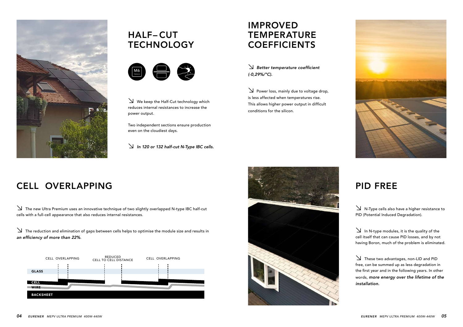

## **HALF-CUT TECHNOLOGY**



↘N-Type cells also have a higher resistance to PID (Potential Induced Degradation).

↘In N-type modules, it is the quality of the cell itself that can cause PID losses, and by not having Boron, much of the problem is eliminated.

↘These two advantages, non-LID and PID free, can be summed up as less degradation in the first year and in the following years. In other words, *more energy over the lifetime of the installation.*

## IMPROVED **TEMPERATURE COEFFICIENTS**

↘The new Ultra Premium uses an innovative technique of two slightly overlapped N-type IBC half-cut cells with a full-cell appearance that also reduces internal resistances.

 $\sum$  Power loss, mainly due to voltage drop, is less affected when temperatures rise. This allows higher power output in difficult conditions for the silicon.

↘The reduction and elimination of gaps between cells helps to optimise the module size and results in *an efficiency of more than 22%*.

↘We keep the Half-Cut technology which reduces internal resistances to increase the power output.

Two independent sections ensure production even on the cloudiest days.

↘ *In 120 or 132 half-cut N-Type IBC cells.*

↘ *Better temperature coefficient (-0,29%/ºC).*





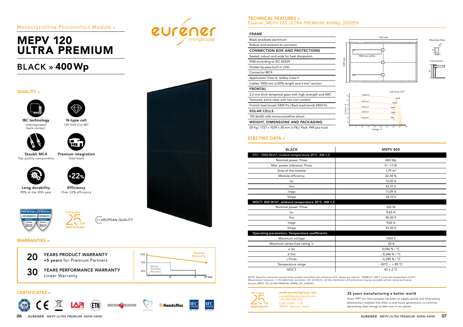*06 EURENER MEPV ULTRA PREMIUM 400W-440W EURENER MEPV ULTRA PREMIUM 400W-440W 07* 



## MEPV 120 ULTRA PREMIUM

## Monocrystalline Photovoltaic Module »

## BLACK » 400Wp

## CERTIFICATES »







## QUALITY » IBC technology N-type cell Interdigitated 120 Half-Cut IBC back contact iu i Staubli MC4 Premium integration Total black Top quality components  $22\circ$ Long durability Efficiency 90% at the 30th year Over 22% efficiency **UPD RESEARCH D RESEARCH** 1997 то 2022 TOP BRAND PV DP BRAND PV \*\*\*\*<br>\*\*\*\* UROPEAN QUALITY<br>\*\*\*\*  $\overline{\phantom{a}}$   $\overline{\phantom{a}}$   $\overline{\phantom{a}}$  th 2022 2021 **ANNIVERSARY** WARRANTIES »

IEC 61215 IEC 61730

**IEC** 

**SundaHus** 

**IEC** 



VKF AEAI

### TECHNICAL FEATURES » Eurener\_MEPV 120\_ULTRA PREMIUM\_400Wp\_2022EN

### FRAME

| Black anodized aluminium                                         |
|------------------------------------------------------------------|
| Robust and resistant to corrosion                                |
| <b>CONNECTION BOX AND PROTECTIONS</b>                            |
| Sealed, robust and wide for heat dissipation                     |
| IP68 according to IEC 60529                                      |
| Diodes by-pass built-in (3/6)                                    |
| <b>Connector MC4</b>                                             |
| Application Class A. Safety Class II                             |
| Cables 1000 mm ( $\pm$ 20%) length and 4 mm <sup>2</sup> section |
| <b>FRONTAL</b>                                                   |
| 3,2 mm thick tempered glass with high strength and ARC           |
| Textured, extra-clear with low iron content                      |
| Frontal load (snow) 5400 Pa   Back load (wind) 2400 Pa           |
| <b>SOLAR CELLS</b>                                               |
| 10011001<br>the control of the control of the control            |

1002<br>1002<br>1002 mm

 $9 \text{ mm}$ 

120 (6x20) cells monocrystalline silicon

WEIGHT, DIMENSIONS AND PACKAGING

20 Kg | 1727 x 1039 x 30 mm (±1%) | Pack: 949 pcs-truck

Eurener\_MEPV 120\_ULTRA PREMIUM\_400Wp\_EN\_JUN2022 NOTE: Read the instruction manual of this product and follow the indications STC. Values are valid for: 1000W/m2, AM 1,5 and cells temperature of 25ºC. Measurement tolerance +/-3% (AAA Solar simulation -IEC 60.904-9-). All the information of this brochure may be amended without notice by Eurener.

| 1997 то 2022       |  |
|--------------------|--|
|                    |  |
|                    |  |
| гн                 |  |
| <b>ANNIVERSARY</b> |  |

| <b>BLACK</b>                                                  | <b>MEPV 400</b>           |  |
|---------------------------------------------------------------|---------------------------|--|
| STC: 1000 W/m <sup>2</sup> , module temperature 25°C, AM 1,5  |                           |  |
| Nominal power. Pmax                                           | 400 Wp                    |  |
| Max. power tolerance. Pmax                                    | $0/+5$ W                  |  |
| Area of the module                                            | $1,79 \text{ m}^2$        |  |
| Module efficiency                                             | 22,30 %                   |  |
| <b>Isc</b>                                                    | 12,05 A                   |  |
| Voc                                                           | 42,10 V                   |  |
| Impp                                                          | 11,09 A                   |  |
| Vmpp                                                          | 36,10 V                   |  |
| NOCT: 800 W/m <sup>2</sup> , ambient temperature 20°C, AM 1,5 |                           |  |
| Nominal power. Pmax                                           | 302 W                     |  |
| <b>Isc</b>                                                    | 9,65 A                    |  |
| Voc                                                           | 40,30 V                   |  |
| Impp                                                          | 9,02 A                    |  |
| Vmpp                                                          | 33,50 V                   |  |
| Operating parameters. Temperature coefficients                |                           |  |
| Maximum voltage                                               | 1500 V                    |  |
| Maximum series fuse rating. Ir                                | 20 A                      |  |
| $\alpha$ lsc                                                  | 0,046 % / °C              |  |
| $\beta$ Voc                                                   | $-0,246%$ /°C             |  |
| $\gamma$ Pmax                                                 | $-0.290\%$ / °C           |  |
| Temperature range                                             | $-40^{\circ}$ C ~ + 85 °C |  |
| <b>NOCT</b>                                                   | $43 \pm 2$ °C             |  |
|                                                               |                           |  |

### ELECTRIC DATA »



1039 mm

www.eurenergroup.com contact@eurenerworld.com +34 960 045 515 Calle Colón, 1-23 46004, Valencia. Spain

### 25 years manufacturing a better world



Since 1997 our main purpose has been to supply quality and long-lasting photovoltaic modules that allow us and future generations, to continue generating clean energy to take care of our planet.



|  | <b>MEPV 400</b> |
|--|-----------------|

Current - A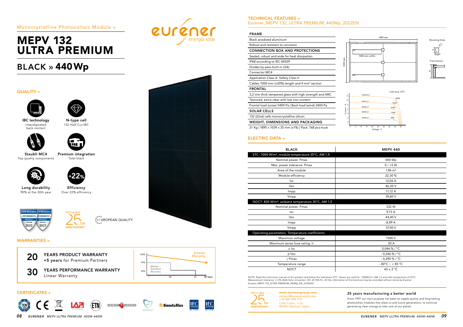## MEPV 132 ULTRA PREMIUM

## Monocrystalline Photovoltaic Module »

## BLACK » 440Wp

### CERTIFICATES »

2022









**SundaHus** 



 $\overline{30}$  Years

Eurener **Warranty** 

### QUALITY » IBC technology N-type cell Interdigitated 132 Half-Cut IBC back contact i i se Staubli MC4 Premium integration Top quality components Total black  $22\%$ Long durability Efficiency 90% at the 30th year Over 22% efficiency **UPD RESEARCH D RESEARC** 1997 то 2022 TOP BRAND PV DP BRAND PV  $\stackrel{\star}{\star} \stackrel{\star}{\star} \stackrel{\star}{\star}$  UROPEAN QUALITY  $\overline{\phantom{a}}$   $\overline{\phantom{a}}$   $\overline{\phantom{a}}$   $\overline{\phantom{a}}$  th 2021 **ANNIVERSARY** WARRANTIES » 20 YEARS PRODUCT WARRANTY<br>+5 years for Premium Partners 100% 90% Market Standard **30 YEARS PERFORMANCE WARRANTY** 80% Warranty Linear Warranty 12 25

### TECHNICAL FEATURES » Eurener\_MEPV 132\_ULTRA PREMIUM\_440Wp\_2022EN

### FRAME

| Black anodized aluminium                                   |
|------------------------------------------------------------|
| Robust and resistant to corrosion                          |
| <b>CONNECTION BOX AND PROTECTIONS</b>                      |
| Sealed, robust and wide for heat dissipation               |
| IP68 according to IEC 60529                                |
| Diodes by-pass built-in (3/6)                              |
| <b>Connector MC4</b>                                       |
| Application Class A. Safety Class II                       |
| Cables 1000 mm (±20%) length and 4 mm <sup>2</sup> section |
| <b>FRONTAL</b>                                             |
| 3,2 mm thick tempered glass with high strength and ARC     |
| Textured, extra-clear with low iron content                |
| Frontal load (snow) 5400 Pa   Back load (wind) 2400 Pa     |
| <b>SOLAR CELLS</b>                                         |
| $100(00(1) - 1)$                                           |

132 (22x6) cells monocrystalline silicon

WEIGHT, DIMENSIONS AND PACKAGING

21 Kg | 1895 x 1039 x 35 mm (±1%) | Pack: 768 pcs-truck

Eurener\_MEPV 132\_ULTRA PREMIUM\_440Wp\_EN\_JUN2022 NOTE: Read the instruction manual of this product and follow the indications STC. Values are valid for: 1000W/m2, AM 1,5 and cells temperature of 25ºC. Measurement tolerance +/-3% (AAA Solar simulation -IEC 60.904-9-). All the information of this brochure may be amended without notice by Eurener.

| 1997 то 2022       |
|--------------------|
|                    |
|                    |
| гн                 |
| <b>ANNIVERSARY</b> |

| <b>BLACK</b>                                                  | <b>MEPV 440</b>           |
|---------------------------------------------------------------|---------------------------|
| STC: 1000 W/m <sup>2</sup> , module temperature 25°C, AM 1,5  |                           |
| Nominal power. Pmax                                           | 440 Wp                    |
| Max. power tolerance. Pmax                                    | $0/ +5 W$                 |
| Area of the module                                            | $1,96 \text{ m}^2$        |
| Module efficiency                                             | 22,30 %                   |
| <b>Isc</b>                                                    | 12,06 A                   |
| Voc                                                           | 46,30 V                   |
| Impp                                                          | 11,12 A                   |
| Vmpp                                                          | 39,60 V                   |
| NOCT: 800 W/m <sup>2</sup> , ambient temperature 20°C, AM 1,5 |                           |
| Nominal power. Pmax                                           | 332W                      |
| <b>Isc</b>                                                    | 9.73 A                    |
| Voc                                                           | 44,40 V                   |
| Impp                                                          | 8,89 A                    |
| Vmpp                                                          | 37,00 V                   |
| Operating parameters. Temperature coefficients                |                           |
| Maximum voltage                                               | 1500 V                    |
| Maximum series fuse rating. Ir                                | 20 A                      |
| $\alpha$ lsc                                                  | 0,046 % / $^{\circ}$ C    |
| $\beta$ Voc                                                   | $-0,246%$ /°C             |
| $\gamma$ Pmax                                                 | $-0.290\%$ / °C           |
| Temperature range                                             | $-40^{\circ}$ C ~ + 85 °C |
| <b>NOCT</b>                                                   | $43 \pm 2$ °C.            |
|                                                               |                           |

### ELECTRIC DATA »



www.eurenergroup.com contact@eurenerworld.com +34 960 045 515 Calle Colón, 1-23 46004, Valencia. Spain



**euréner** 

1002<br>1002<br>1002 mm 1039 mm  $9 \text{ mm}$ 

### 25 years manufacturing a better world



Since 1997 our main purpose has been to supply quality and long-lasting photovoltaic modules that allow us and future generations, to continue generating clean energy to take care of our planet.



| <b>MEPV 440</b>           |
|---------------------------|
|                           |
| 440 Wp                    |
| $0/+5$ W                  |
| $1,96 \text{ m}^2$        |
| 22,30%                    |
| 12,06 A                   |
| 46,30 V                   |
| 11,12 A                   |
| 39,60 V                   |
|                           |
| 332W                      |
| 9,73 A                    |
| 44,40 V                   |
| 8,89 A                    |
| 37,00 V                   |
|                           |
| 1500 V                    |
| 20 A                      |
| 0,046 % / °C              |
| $-0,246$ % / °C           |
| - 0,290 % / °C            |
| $-40^{\circ}$ C ~ + 85 °C |
| $43 \pm 2$ °C             |
|                           |

Current - A